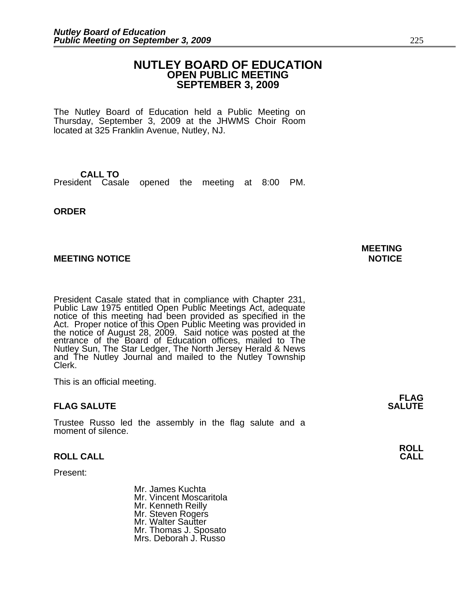## **NUTLEY BOARD OF EDUCATION OPEN PUBLIC MEETING SEPTEMBER 3, 2009**

The Nutley Board of Education held a Public Meeting on Thursday, September 3, 2009 at the JHWMS Choir Room located at 325 Franklin Avenue, Nutley, NJ.

**CALL TO** President Casale opened the meeting at 8:00 PM.

**ORDER**

## **MEETING NOTICE NOTICE NOTICE**

President Casale stated that in compliance with Chapter 231, Public Law 1975 entitled Open Public Meetings Act, adequate notice of this meeting had been provided as specified in the Act. Proper notice of this Open Public Meeting was provided in the notice of August 28, 2009. Said notice was posted at the entrance of the Board of Education offices, mailed to The Nutley Sun, The Star Ledger, The North Jersey Herald & News and The Nutley Journal and mailed to the Nutley Township Clerk.

This is an official meeting.

## **FLAG SALUTE SALUTE**

Trustee Russo led the assembly in the flag salute and a moment of silence.

## **ROLL CALL CALL**

Present:

Mr. James Kuchta Mr. Vincent Moscaritola Mr. Kenneth Reilly Mr. Steven Rogers Mr. Walter Sautter Mr. Thomas J. Sposato Mrs. Deborah J. Russo

**MEETING**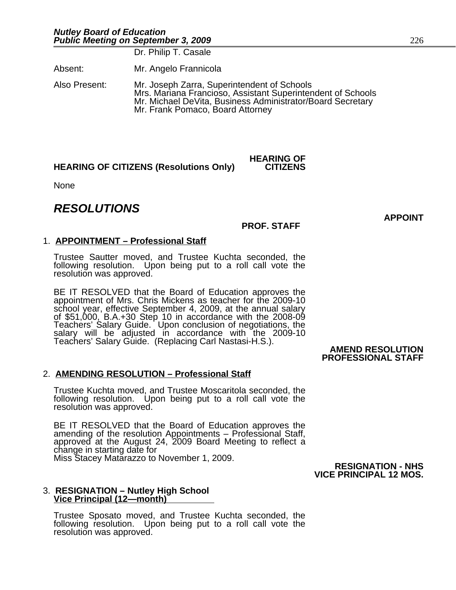Dr. Philip T. Casale

Absent: Mr. Angelo Frannicola

Also Present: Mr. Joseph Zarra, Superintendent of Schools Mrs. Mariana Francioso, Assistant Superintendent of Schools Mr. Michael DeVita, Business Administrator/Board Secretary Mr. Frank Pomaco, Board Attorney

## **HEARING OF CITIZENS (Resolutions Only)**

None

## *RESOLUTIONS*

## **PROF. STAFF**

**HEARING OF**

## 1. **APPOINTMENT – Professional Staff**

Trustee Sautter moved, and Trustee Kuchta seconded, the following resolution. Upon being put to a roll call vote the resolution was approved.

BE IT RESOLVED that the Board of Education approves the appointment of Mrs. Chris Mickens as teacher for the 2009-10 school year, effective September 4, 2009, at the annual salary of \$51,000, B.A.+30 Step 10 in accordance with the 2008-09 Teachers' Salary Guide. Upon conclusion of negotiations, the salary will be adjusted in accordance with the 2009-10 Teachers' Salary Guide. (Replacing Carl Nastasi-H.S.).

## **AMEND RESOLUTION PROFESSIONAL STAFF**

## 2. **AMENDING RESOLUTION – Professional Staff**

Trustee Kuchta moved, and Trustee Moscaritola seconded, the following resolution. Upon being put to a roll call vote the resolution was approved.

BE IT RESOLVED that the Board of Education approves the amending of the resolution Appointments – Professional Staff, approved at the August 24, 2009 Board Meeting to reflect a change in starting date for Miss Stacey Matarazzo to November 1, 2009.

**RESIGNATION - NHS VICE PRINCIPAL 12 MOS.**

## 3. **RESIGNATION – Nutley High School Vice Principal (12—month)**

Trustee Sposato moved, and Trustee Kuchta seconded, the following resolution. Upon being put to a roll call vote the resolution was approved.

**APPOINT**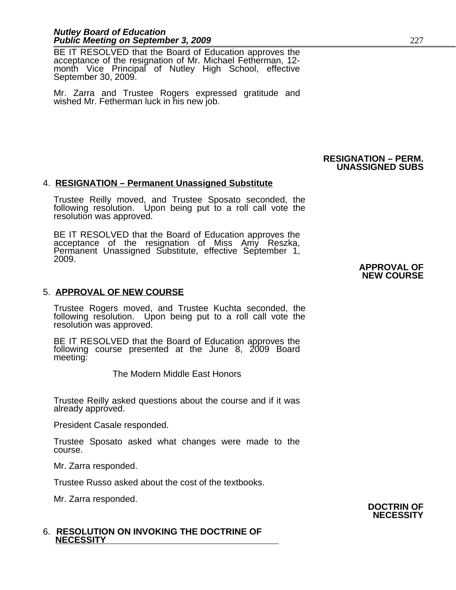## *Nutley Board of Education* **Public Meeting on September 3, 2009** 227

BE IT RESOLVED that the Board of Education approves the acceptance of the resignation of Mr. Michael Fetherman, 12 month Vice Principal of Nutley High School, effective September 30, 2009.

Mr. Zarra and Trustee Rogers expressed gratitude and wished Mr. Fetherman luck in his new job.

## 4. **RESIGNATION – Permanent Unassigned Substitute**

Trustee Reilly moved, and Trustee Sposato seconded, the following resolution. Upon being put to a roll call vote the resolution was approved.

BE IT RESOLVED that the Board of Education approves the acceptance of the resignation of Miss Amy Reszka, Permanent Unassigned Substitute, effective September 1, 2009.

## 5. **APPROVAL OF NEW COURSE**

Trustee Rogers moved, and Trustee Kuchta seconded, the following resolution. Upon being put to a roll call vote the resolution was approved.

BE IT RESOLVED that the Board of Education approves the following course presented at the June 8, 2009 Board meeting:

The Modern Middle East Honors

Trustee Reilly asked questions about the course and if it was already approved.

President Casale responded.

Trustee Sposato asked what changes were made to the course.

Mr. Zarra responded.

Trustee Russo asked about the cost of the textbooks.

Mr. Zarra responded.

## 6. **RESOLUTION ON INVOKING THE DOCTRINE OF NECESSITY**

#### **RESIGNATION – PERM. UNASSIGNED SUBS**

## **APPROVAL OF NEW COURSE**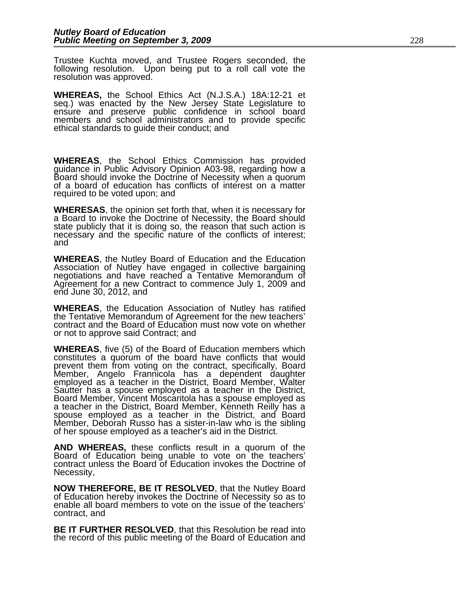Trustee Kuchta moved, and Trustee Rogers seconded, the following resolution. Upon being put to a roll call vote the resolution was approved.

**WHEREAS,** the School Ethics Act (N.J.S.A.) 18A:12-21 et seq.) was enacted by the New Jersey State Legislature to ensure and preserve public confidence in school board members and school administrators and to provide specific ethical standards to guide their conduct; and

**WHEREAS**, the School Ethics Commission has provided guidance in Public Advisory Opinion A03-98, regarding how a Board should invoke the Doctrine of Necessity when a quorum of a board of education has conflicts of interest on a matter required to be voted upon; and

**WHERESAS**, the opinion set forth that, when it is necessary for a Board to invoke the Doctrine of Necessity, the Board should state publicly that it is doing so, the reason that such action is necessary and the specific nature of the conflicts of interest; and

**WHEREAS**, the Nutley Board of Education and the Education Association of Nutley have engaged in collective bargaining negotiations and have reached a Tentative Memorandum of Agreement for a new Contract to commence July 1, 2009 and end June 30, 2012, and

**WHEREAS**, the Education Association of Nutley has ratified the Tentative Memorandum of Agreement for the new teachers' contract and the Board of Education must now vote on whether or not to approve said Contract; and

**WHEREAS**, five (5) of the Board of Education members which constitutes a quorum of the board have conflicts that would prevent them from voting on the contract, specifically, Board Member, Angelo Frannicola has a dependent daughter employed as a teacher in the District, Board Member, Walter Sautter has a spouse employed as a teacher in the District, Board Member, Vincent Moscaritola has a spouse employed as a teacher in the District, Board Member, Kenneth Reilly has a spouse employed as a teacher in the District, and Board Member, Deborah Russo has a sister-in-law who is the sibling of her spouse employed as a teacher's aid in the District.

**AND WHEREAS,** these conflicts result in a quorum of the Board of Education being unable to vote on the teachers' contract unless the Board of Education invokes the Doctrine of Necessity,

**NOW THEREFORE, BE IT RESOLVED**, that the Nutley Board of Education hereby invokes the Doctrine of Necessity so as to enable all board members to vote on the issue of the teachers' contract, and

**BE IT FURTHER RESOLVED**, that this Resolution be read into the record of this public meeting of the Board of Education and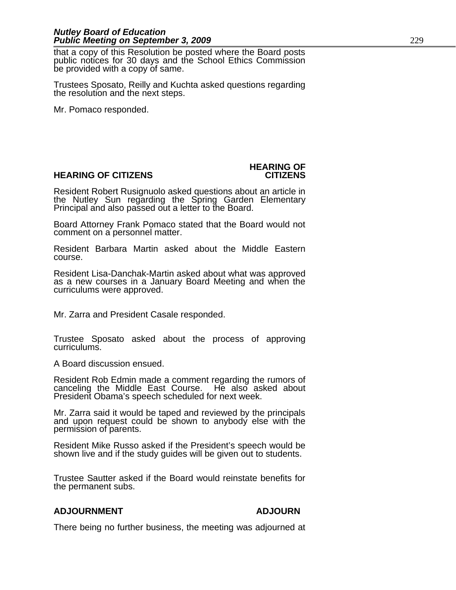## *Nutley Board of Education* **Public Meeting on September 3, 2009** 229

that a copy of this Resolution be posted where the Board posts public notices for 30 days and the School Ethics Commission be provided with a copy of same.

Trustees Sposato, Reilly and Kuchta asked questions regarding the resolution and the next steps.

Mr. Pomaco responded.

## **HEARING OF CITIZENS CITIZENS**

# **HEARING OF**

Resident Robert Rusignuolo asked questions about an article in the Nutley Sun regarding the Spring Garden Elementary Principal and also passed out a letter to the Board.

Board Attorney Frank Pomaco stated that the Board would not comment on a personnel matter.

Resident Barbara Martin asked about the Middle Eastern course.

Resident Lisa-Danchak-Martin asked about what was approved as a new courses in a January Board Meeting and when the curriculums were approved.

Mr. Zarra and President Casale responded.

Trustee Sposato asked about the process of approving curriculums.

A Board discussion ensued.

Resident Rob Edmin made a comment regarding the rumors of canceling the Middle East Course. He also asked about President Obama's speech scheduled for next week.

Mr. Zarra said it would be taped and reviewed by the principals and upon request could be shown to anybody else with the permission of parents.

Resident Mike Russo asked if the President's speech would be shown live and if the study guides will be given out to students.

Trustee Sautter asked if the Board would reinstate benefits for the permanent subs.

## **ADJOURNMENT ADJOURN**

There being no further business, the meeting was adjourned at